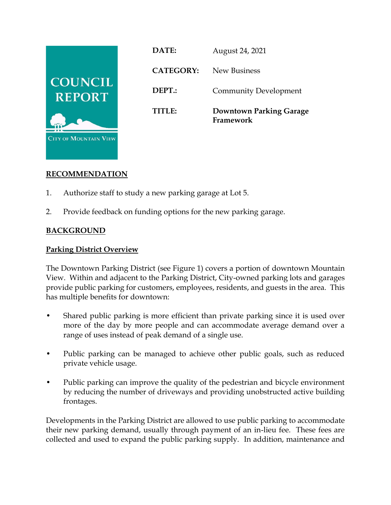

**DATE:** August 24, 2021 **CATEGORY:** New Business **DEPT.:** Community Development **TITLE: Downtown Parking Garage Framework**

# **RECOMMENDATION**

- 1. Authorize staff to study a new parking garage at Lot 5.
- 2. Provide feedback on funding options for the new parking garage.

## **BACKGROUND**

## **Parking District Overview**

The Downtown Parking District (see Figure 1) covers a portion of downtown Mountain View. Within and adjacent to the Parking District, City-owned parking lots and garages provide public parking for customers, employees, residents, and guests in the area. This has multiple benefits for downtown:

- Shared public parking is more efficient than private parking since it is used over more of the day by more people and can accommodate average demand over a range of uses instead of peak demand of a single use.
- Public parking can be managed to achieve other public goals, such as reduced private vehicle usage.
- Public parking can improve the quality of the pedestrian and bicycle environment by reducing the number of driveways and providing unobstructed active building frontages.

Developments in the Parking District are allowed to use public parking to accommodate their new parking demand, usually through payment of an in-lieu fee. These fees are collected and used to expand the public parking supply. In addition, maintenance and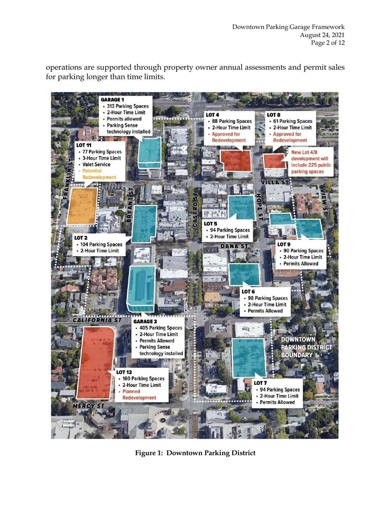operations are supported through property owner annual assessments and permit sales for parking longer than time limits.



**Figure 1: Downtown Parking District**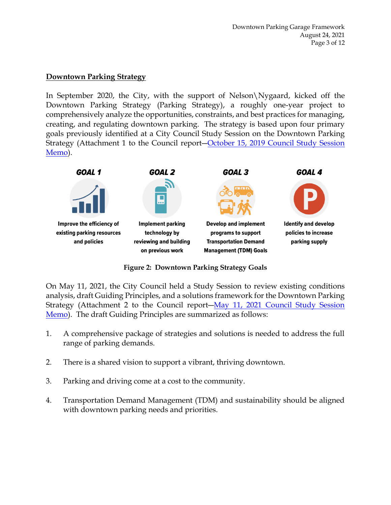## **Downtown Parking Strategy**

In September 2020, the City, with the support of Nelson\Nygaard, kicked off the Downtown Parking Strategy (Parking Strategy), a roughly one-year project to comprehensively analyze the opportunities, constraints, and best practices for managing, creating, and regulating downtown parking. The strategy is based upon four primary goals previously identified at a City Council Study Session on the Downtown Parking Strategy (Attachment 1 to the Council report–October 15, 2019 Council Study Session [Memo\)](https://mountainview.legistar.com/LegislationDetail.aspx?ID=4164185&GUID=914CDD41-C023-4F47-818E-49318579AABE&Options=&Search=).



**Figure 2: Downtown Parking Strategy Goals**

On May 11, 2021, the City Council held a Study Session to review existing conditions analysis, draft Guiding Principles, and a solutions framework for the Downtown Parking Strategy (Attachment 2 to the Council report―[May 11, 2021 Council Study Session](https://mountainview.legistar.com/LegislationDetail.aspx?ID=4939565&GUID=AD9BA2A5-4E13-462F-B616-B6BB6FEF4827&Options=&Search=)  [Memo\)](https://mountainview.legistar.com/LegislationDetail.aspx?ID=4939565&GUID=AD9BA2A5-4E13-462F-B616-B6BB6FEF4827&Options=&Search=). The draft Guiding Principles are summarized as follows:

- 1. A comprehensive package of strategies and solutions is needed to address the full range of parking demands.
- 2. There is a shared vision to support a vibrant, thriving downtown.
- 3. Parking and driving come at a cost to the community.
- 4. Transportation Demand Management (TDM) and sustainability should be aligned with downtown parking needs and priorities.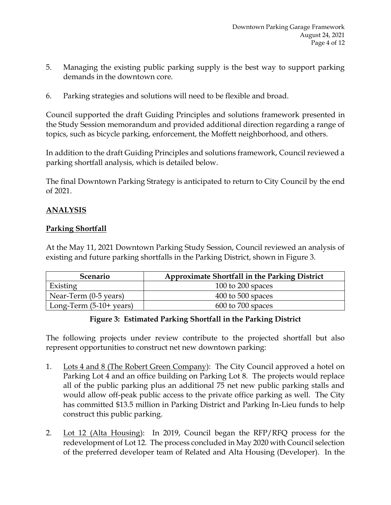- 5. Managing the existing public parking supply is the best way to support parking demands in the downtown core.
- 6. Parking strategies and solutions will need to be flexible and broad.

Council supported the draft Guiding Principles and solutions framework presented in the Study Session memorandum and provided additional direction regarding a range of topics, such as bicycle parking, enforcement, the Moffett neighborhood, and others.

In addition to the draft Guiding Principles and solutions framework, Council reviewed a parking shortfall analysis, which is detailed below.

The final Downtown Parking Strategy is anticipated to return to City Council by the end of 2021.

## **ANALYSIS**

### **Parking Shortfall**

At the May 11, 2021 Downtown Parking Study Session, Council reviewed an analysis of existing and future parking shortfalls in the Parking District, shown in Figure 3.

| Scenario                   | <b>Approximate Shortfall in the Parking District</b> |
|----------------------------|------------------------------------------------------|
| Existing                   | 100 to 200 spaces                                    |
| Near-Term $(0-5$ years)    | $400$ to 500 spaces                                  |
| Long-Term $(5-10+)$ years) | $600$ to $700$ spaces                                |

## **Figure 3: Estimated Parking Shortfall in the Parking District**

The following projects under review contribute to the projected shortfall but also represent opportunities to construct net new downtown parking:

- 1. Lots 4 and 8 (The Robert Green Company): The City Council approved a hotel on Parking Lot 4 and an office building on Parking Lot 8. The projects would replace all of the public parking plus an additional 75 net new public parking stalls and would allow off-peak public access to the private office parking as well. The City has committed \$13.5 million in Parking District and Parking In-Lieu funds to help construct this public parking.
- 2. Lot 12 (Alta Housing): In 2019, Council began the RFP/RFQ process for the redevelopment of Lot 12. The process concluded in May 2020 with Council selection of the preferred developer team of Related and Alta Housing (Developer). In the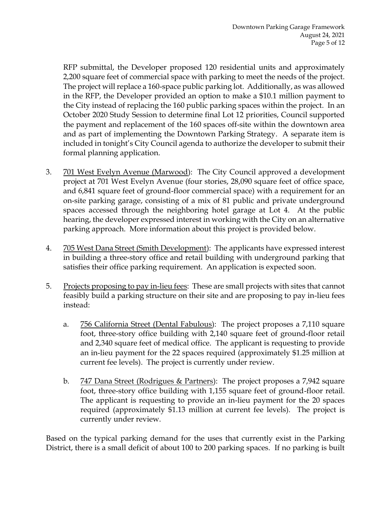RFP submittal, the Developer proposed 120 residential units and approximately 2,200 square feet of commercial space with parking to meet the needs of the project. The project will replace a 160-space public parking lot. Additionally, as was allowed in the RFP, the Developer provided an option to make a \$10.1 million payment to the City instead of replacing the 160 public parking spaces within the project. In an October 2020 Study Session to determine final Lot 12 priorities, Council supported the payment and replacement of the 160 spaces off-site within the downtown area and as part of implementing the Downtown Parking Strategy. A separate item is included in tonight's City Council agenda to authorize the developer to submit their formal planning application.

- 3. 701 West Evelyn Avenue (Marwood): The City Council approved a development project at 701 West Evelyn Avenue (four stories, 28,090 square feet of office space, and 6,841 square feet of ground-floor commercial space) with a requirement for an on-site parking garage, consisting of a mix of 81 public and private underground spaces accessed through the neighboring hotel garage at Lot 4. At the public hearing, the developer expressed interest in working with the City on an alternative parking approach. More information about this project is provided below.
- 4. 705 West Dana Street (Smith Development): The applicants have expressed interest in building a three-story office and retail building with underground parking that satisfies their office parking requirement. An application is expected soon.
- 5. Projects proposing to pay in-lieu fees: These are small projects with sites that cannot feasibly build a parking structure on their site and are proposing to pay in-lieu fees instead:
	- a. 756 California Street (Dental Fabulous): The project proposes a 7,110 square foot, three-story office building with 2,140 square feet of ground-floor retail and 2,340 square feet of medical office. The applicant is requesting to provide an in-lieu payment for the 22 spaces required (approximately \$1.25 million at current fee levels). The project is currently under review.
	- b. 747 Dana Street (Rodrigues & Partners): The project proposes a 7,942 square foot, three-story office building with 1,155 square feet of ground-floor retail. The applicant is requesting to provide an in-lieu payment for the 20 spaces required (approximately \$1.13 million at current fee levels). The project is currently under review.

Based on the typical parking demand for the uses that currently exist in the Parking District, there is a small deficit of about 100 to 200 parking spaces. If no parking is built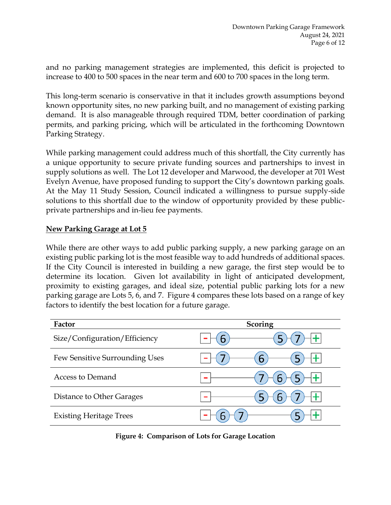and no parking management strategies are implemented, this deficit is projected to increase to 400 to 500 spaces in the near term and 600 to 700 spaces in the long term.

This long-term scenario is conservative in that it includes growth assumptions beyond known opportunity sites, no new parking built, and no management of existing parking demand. It is also manageable through required TDM, better coordination of parking permits, and parking pricing, which will be articulated in the forthcoming Downtown Parking Strategy.

While parking management could address much of this shortfall, the City currently has a unique opportunity to secure private funding sources and partnerships to invest in supply solutions as well. The Lot 12 developer and Marwood, the developer at 701 West Evelyn Avenue, have proposed funding to support the City's downtown parking goals. At the May 11 Study Session, Council indicated a willingness to pursue supply-side solutions to this shortfall due to the window of opportunity provided by these publicprivate partnerships and in-lieu fee payments.

### **New Parking Garage at Lot 5**

While there are other ways to add public parking supply, a new parking garage on an existing public parking lot is the most feasible way to add hundreds of additional spaces. If the City Council is interested in building a new garage, the first step would be to determine its location. Given lot availability in light of anticipated development, proximity to existing garages, and ideal size, potential public parking lots for a new parking garage are Lots 5, 6, and 7. Figure 4 compares these lots based on a range of key factors to identify the best location for a future garage.

| Factor                         | <b>Scoring</b> |
|--------------------------------|----------------|
| Size/Configuration/Efficiency  | $\bullet$      |
| Few Sensitive Surrounding Uses | 6              |
| Access to Demand               |                |
| Distance to Other Garages      |                |
| <b>Existing Heritage Trees</b> |                |

**Figure 4: Comparison of Lots for Garage Location**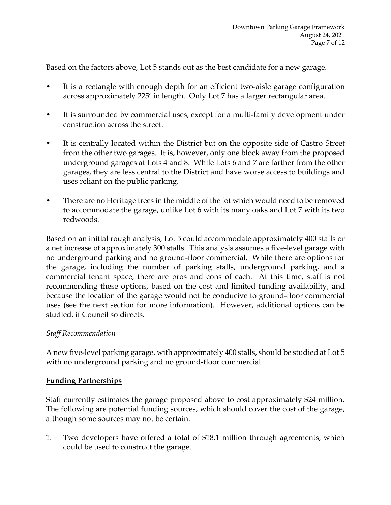Based on the factors above, Lot 5 stands out as the best candidate for a new garage.

- It is a rectangle with enough depth for an efficient two-aisle garage configuration across approximately 225' in length. Only Lot 7 has a larger rectangular area.
- It is surrounded by commercial uses, except for a multi-family development under construction across the street.
- It is centrally located within the District but on the opposite side of Castro Street from the other two garages. It is, however, only one block away from the proposed underground garages at Lots 4 and 8. While Lots 6 and 7 are farther from the other garages, they are less central to the District and have worse access to buildings and uses reliant on the public parking.
- There are no Heritage trees in the middle of the lot which would need to be removed to accommodate the garage, unlike Lot 6 with its many oaks and Lot 7 with its two redwoods.

Based on an initial rough analysis, Lot 5 could accommodate approximately 400 stalls or a net increase of approximately 300 stalls. This analysis assumes a five-level garage with no underground parking and no ground-floor commercial. While there are options for the garage, including the number of parking stalls, underground parking, and a commercial tenant space, there are pros and cons of each. At this time, staff is not recommending these options, based on the cost and limited funding availability, and because the location of the garage would not be conducive to ground-floor commercial uses (see the next section for more information). However, additional options can be studied, if Council so directs.

#### *Staff Recommendation*

A new five-level parking garage, with approximately 400 stalls, should be studied at Lot 5 with no underground parking and no ground-floor commercial.

#### **Funding Partnerships**

Staff currently estimates the garage proposed above to cost approximately \$24 million. The following are potential funding sources, which should cover the cost of the garage, although some sources may not be certain.

1. Two developers have offered a total of \$18.1 million through agreements, which could be used to construct the garage.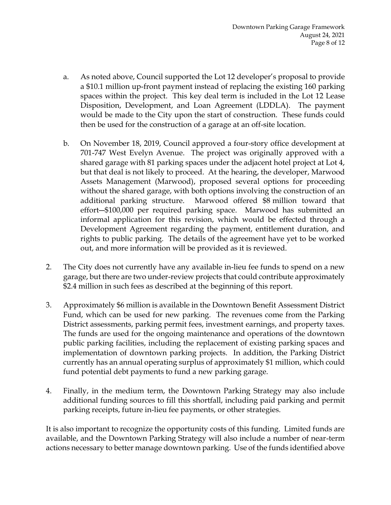- a. As noted above, Council supported the Lot 12 developer's proposal to provide a \$10.1 million up-front payment instead of replacing the existing 160 parking spaces within the project. This key deal term is included in the Lot 12 Lease Disposition, Development, and Loan Agreement (LDDLA). The payment would be made to the City upon the start of construction. These funds could then be used for the construction of a garage at an off-site location.
- b. On November 18, 2019, Council approved a four-story office development at 701-747 West Evelyn Avenue. The project was originally approved with a shared garage with 81 parking spaces under the adjacent hotel project at Lot 4, but that deal is not likely to proceed. At the hearing, the developer, Marwood Assets Management (Marwood), proposed several options for proceeding without the shared garage, with both options involving the construction of an additional parking structure. Marwood offered \$8 million toward that effort―\$100,000 per required parking space. Marwood has submitted an informal application for this revision, which would be effected through a Development Agreement regarding the payment, entitlement duration, and rights to public parking. The details of the agreement have yet to be worked out, and more information will be provided as it is reviewed.
- 2. The City does not currently have any available in-lieu fee funds to spend on a new garage, but there are two under-review projects that could contribute approximately \$2.4 million in such fees as described at the beginning of this report.
- 3. Approximately \$6 million is available in the Downtown Benefit Assessment District Fund, which can be used for new parking. The revenues come from the Parking District assessments, parking permit fees, investment earnings, and property taxes. The funds are used for the ongoing maintenance and operations of the downtown public parking facilities, including the replacement of existing parking spaces and implementation of downtown parking projects. In addition, the Parking District currently has an annual operating surplus of approximately \$1 million, which could fund potential debt payments to fund a new parking garage.
- 4. Finally, in the medium term, the Downtown Parking Strategy may also include additional funding sources to fill this shortfall, including paid parking and permit parking receipts, future in-lieu fee payments, or other strategies.

It is also important to recognize the opportunity costs of this funding. Limited funds are available, and the Downtown Parking Strategy will also include a number of near-term actions necessary to better manage downtown parking. Use of the funds identified above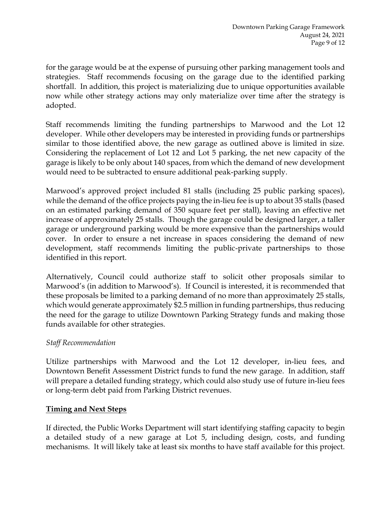for the garage would be at the expense of pursuing other parking management tools and strategies. Staff recommends focusing on the garage due to the identified parking shortfall. In addition, this project is materializing due to unique opportunities available now while other strategy actions may only materialize over time after the strategy is adopted.

Staff recommends limiting the funding partnerships to Marwood and the Lot 12 developer. While other developers may be interested in providing funds or partnerships similar to those identified above, the new garage as outlined above is limited in size. Considering the replacement of Lot 12 and Lot 5 parking, the net new capacity of the garage is likely to be only about 140 spaces, from which the demand of new development would need to be subtracted to ensure additional peak-parking supply.

Marwood's approved project included 81 stalls (including 25 public parking spaces), while the demand of the office projects paying the in-lieu fee is up to about 35 stalls (based on an estimated parking demand of 350 square feet per stall), leaving an effective net increase of approximately 25 stalls. Though the garage could be designed larger, a taller garage or underground parking would be more expensive than the partnerships would cover. In order to ensure a net increase in spaces considering the demand of new development, staff recommends limiting the public-private partnerships to those identified in this report.

Alternatively, Council could authorize staff to solicit other proposals similar to Marwood's (in addition to Marwood's). If Council is interested, it is recommended that these proposals be limited to a parking demand of no more than approximately 25 stalls, which would generate approximately \$2.5 million in funding partnerships, thus reducing the need for the garage to utilize Downtown Parking Strategy funds and making those funds available for other strategies.

## *Staff Recommendation*

Utilize partnerships with Marwood and the Lot 12 developer, in-lieu fees, and Downtown Benefit Assessment District funds to fund the new garage. In addition, staff will prepare a detailed funding strategy, which could also study use of future in-lieu fees or long-term debt paid from Parking District revenues.

## **Timing and Next Steps**

If directed, the Public Works Department will start identifying staffing capacity to begin a detailed study of a new garage at Lot 5, including design, costs, and funding mechanisms. It will likely take at least six months to have staff available for this project.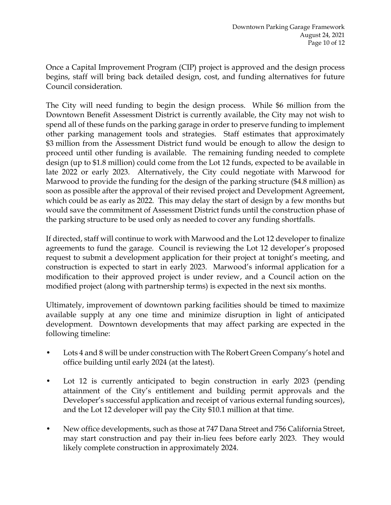Once a Capital Improvement Program (CIP) project is approved and the design process begins, staff will bring back detailed design, cost, and funding alternatives for future Council consideration.

The City will need funding to begin the design process. While \$6 million from the Downtown Benefit Assessment District is currently available, the City may not wish to spend all of these funds on the parking garage in order to preserve funding to implement other parking management tools and strategies. Staff estimates that approximately \$3 million from the Assessment District fund would be enough to allow the design to proceed until other funding is available. The remaining funding needed to complete design (up to \$1.8 million) could come from the Lot 12 funds, expected to be available in late 2022 or early 2023. Alternatively, the City could negotiate with Marwood for Marwood to provide the funding for the design of the parking structure (\$4.8 million) as soon as possible after the approval of their revised project and Development Agreement, which could be as early as 2022. This may delay the start of design by a few months but would save the commitment of Assessment District funds until the construction phase of the parking structure to be used only as needed to cover any funding shortfalls.

If directed, staff will continue to work with Marwood and the Lot 12 developer to finalize agreements to fund the garage. Council is reviewing the Lot 12 developer's proposed request to submit a development application for their project at tonight's meeting, and construction is expected to start in early 2023. Marwood's informal application for a modification to their approved project is under review, and a Council action on the modified project (along with partnership terms) is expected in the next six months.

Ultimately, improvement of downtown parking facilities should be timed to maximize available supply at any one time and minimize disruption in light of anticipated development. Downtown developments that may affect parking are expected in the following timeline:

- Lots 4 and 8 will be under construction with The Robert Green Company's hotel and office building until early 2024 (at the latest).
- Lot 12 is currently anticipated to begin construction in early 2023 (pending attainment of the City's entitlement and building permit approvals and the Developer's successful application and receipt of various external funding sources), and the Lot 12 developer will pay the City \$10.1 million at that time.
- New office developments, such as those at 747 Dana Street and 756 California Street, may start construction and pay their in-lieu fees before early 2023. They would likely complete construction in approximately 2024.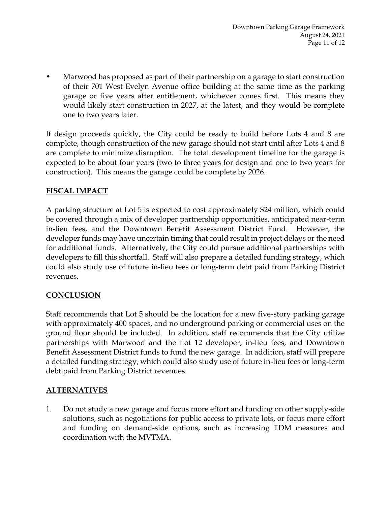• Marwood has proposed as part of their partnership on a garage to start construction of their 701 West Evelyn Avenue office building at the same time as the parking garage or five years after entitlement, whichever comes first. This means they would likely start construction in 2027, at the latest, and they would be complete one to two years later.

If design proceeds quickly, the City could be ready to build before Lots 4 and 8 are complete, though construction of the new garage should not start until after Lots 4 and 8 are complete to minimize disruption. The total development timeline for the garage is expected to be about four years (two to three years for design and one to two years for construction). This means the garage could be complete by 2026.

# **FISCAL IMPACT**

A parking structure at Lot 5 is expected to cost approximately \$24 million, which could be covered through a mix of developer partnership opportunities, anticipated near-term in-lieu fees, and the Downtown Benefit Assessment District Fund. However, the developer funds may have uncertain timing that could result in project delays or the need for additional funds. Alternatively, the City could pursue additional partnerships with developers to fill this shortfall. Staff will also prepare a detailed funding strategy, which could also study use of future in-lieu fees or long-term debt paid from Parking District revenues.

## **CONCLUSION**

Staff recommends that Lot 5 should be the location for a new five-story parking garage with approximately 400 spaces, and no underground parking or commercial uses on the ground floor should be included. In addition, staff recommends that the City utilize partnerships with Marwood and the Lot 12 developer, in-lieu fees, and Downtown Benefit Assessment District funds to fund the new garage. In addition, staff will prepare a detailed funding strategy, which could also study use of future in-lieu fees or long-term debt paid from Parking District revenues.

## **ALTERNATIVES**

1. Do not study a new garage and focus more effort and funding on other supply-side solutions, such as negotiations for public access to private lots, or focus more effort and funding on demand-side options, such as increasing TDM measures and coordination with the MVTMA.